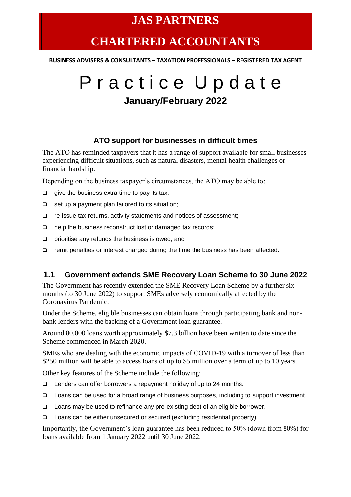### **JAS PARTNERS**

## **CHARTERED ACCOUNTANTS**

**BUSINESS ADVISERS & CONSULTANTS – TAXATION PROFESSIONALS – REGISTERED TAX AGENT**

# P r a c t i c e U p d a t e **January/February 2022**

#### **ATO support for businesses in difficult times**

The ATO has reminded taxpayers that it has a range of support available for small businesses experiencing difficult situations, such as natural disasters, mental health challenges or financial hardship.

Depending on the business taxpayer's circumstances, the ATO may be able to:

- ❑ give the business extra time to pay its tax;
- ❑ set up a payment plan tailored to its situation;
- ❑ re-issue tax returns, activity statements and notices of assessment;
- ❑ help the business reconstruct lost or damaged tax records;
- ❑ prioritise any refunds the business is owed; and
- ❑ remit penalties or interest charged during the time the business has been affected.

#### **1.1 Government extends SME Recovery Loan Scheme to 30 June 2022**

The Government has recently extended the SME Recovery Loan Scheme by a further six months (to 30 June 2022) to support SMEs adversely economically affected by the Coronavirus Pandemic.

Under the Scheme, eligible businesses can obtain loans through participating bank and nonbank lenders with the backing of a Government loan guarantee.

Around 80,000 loans worth approximately \$7.3 billion have been written to date since the Scheme commenced in March 2020.

SMEs who are dealing with the economic impacts of COVID-19 with a turnover of less than \$250 million will be able to access loans of up to \$5 million over a term of up to 10 years.

Other key features of the Scheme include the following:

- ❑ Lenders can offer borrowers a repayment holiday of up to 24 months.
- ❑ Loans can be used for a broad range of business purposes, including to support investment.
- ❑ Loans may be used to refinance any pre-existing debt of an eligible borrower.
- ❑ Loans can be either unsecured or secured (excluding residential property).

Importantly, the Government's loan guarantee has been reduced to 50% (down from 80%) for loans available from 1 January 2022 until 30 June 2022.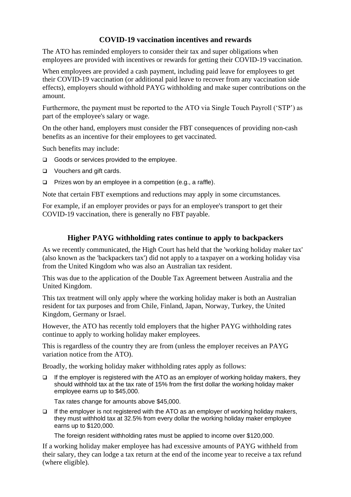#### **COVID-19 vaccination incentives and rewards**

The ATO has reminded employers to consider their tax and super obligations when employees are provided with incentives or rewards for getting their COVID-19 vaccination.

When employees are provided a cash payment, including paid leave for employees to get their COVID-19 vaccination (or additional paid leave to recover from any vaccination side effects), employers should withhold PAYG withholding and make super contributions on the amount.

Furthermore, the payment must be reported to the ATO via Single Touch Payroll ('STP') as part of the employee's salary or wage.

On the other hand, employers must consider the FBT consequences of providing non-cash benefits as an incentive for their employees to get vaccinated.

Such benefits may include:

- ❑ Goods or services provided to the employee.
- ❑ Vouchers and gift cards.
- ❑ Prizes won by an employee in a competition (e.g., a raffle).

Note that certain FBT exemptions and reductions may apply in some circumstances.

For example, if an employer provides or pays for an employee's transport to get their COVID-19 vaccination, there is generally no FBT payable.

#### **Higher PAYG withholding rates continue to apply to backpackers**

As we recently communicated, the High Court has held that the 'working holiday maker tax' (also known as the 'backpackers tax') did not apply to a taxpayer on a working holiday visa from the United Kingdom who was also an Australian tax resident.

This was due to the application of the Double Tax Agreement between Australia and the United Kingdom.

This tax treatment will only apply where the working holiday maker is both an Australian resident for tax purposes and from Chile, Finland, Japan, Norway, Turkey, the United Kingdom, Germany or Israel.

However, the ATO has recently told employers that the higher PAYG withholding rates continue to apply to working holiday maker employees.

This is regardless of the country they are from (unless the employer receives an PAYG variation notice from the ATO).

Broadly, the working holiday maker withholding rates apply as follows:

❑ If the employer is registered with the ATO as an employer of working holiday makers, they should withhold tax at the tax rate of 15% from the first dollar the working holiday maker employee earns up to \$45,000.

Tax rates change for amounts above \$45,000.

❑ If the employer is not registered with the ATO as an employer of working holiday makers, they must withhold tax at 32.5% from every dollar the working holiday maker employee earns up to \$120,000.

The foreign resident withholding rates must be applied to income over \$120,000.

If a working holiday maker employee has had excessive amounts of PAYG withheld from their salary, they can lodge a tax return at the end of the income year to receive a tax refund (where eligible).